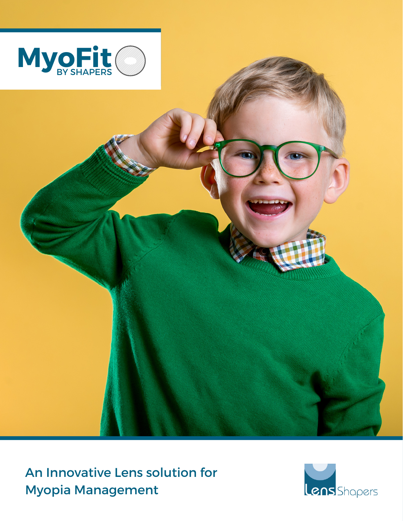